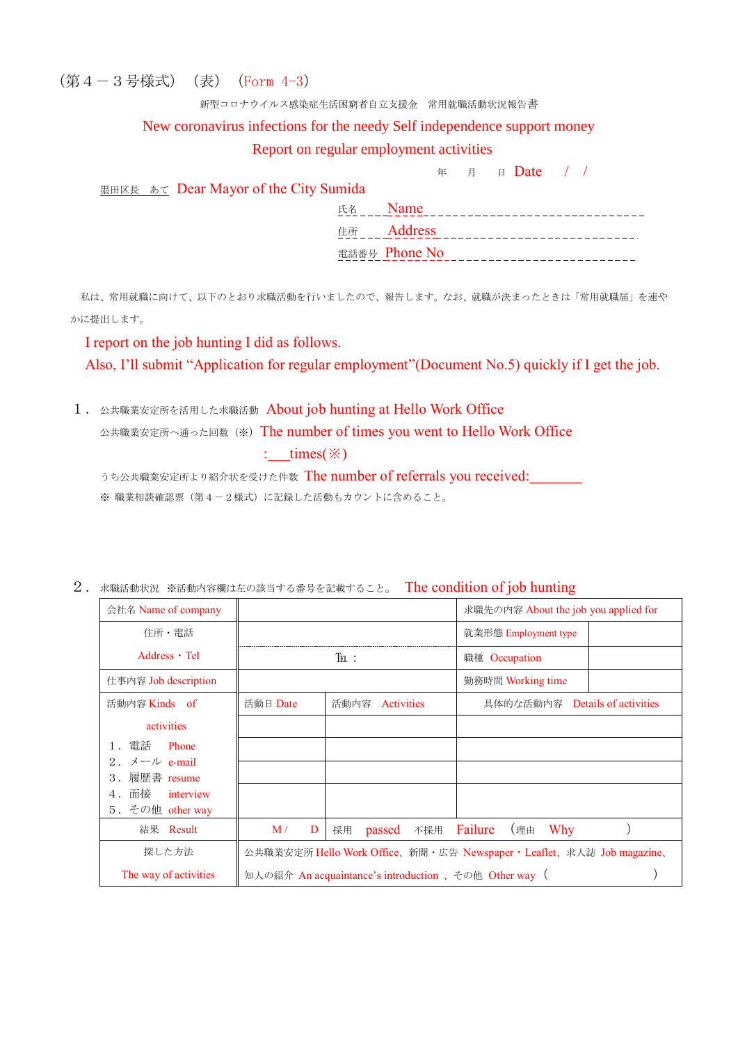(第4-3号様式)(表)(Form 4-3)

#### 新型コロナウイルス感染症生活困窮者自立支援金 常用就職活動状況報告書

## New coronavirus infections for the needy Self independence support money

#### Report on regular employment activities

<sup>年</sup> <sup>月</sup> <sup>日</sup> Date / /

墨田区長 あて Dear Mayor of the City Sumida

| 氏名 | Name              |
|----|-------------------|
|    | 住所 <b>Address</b> |
|    | 電話番号 Phone No     |

私は、常用就職に向けて、以下のとおり求職活動を行いましたので、報告します。なお、就職が決まったときは「常用就職届」を速や かに提出します。

## I report on the job hunting I did as follows.

Also, I'll submit "Application for regular employment"(Document No.5) quickly if I get the job.

1. 公共職業安定所を活用した求職活動 About job hunting at Hello Work Office

公共職業安定所へ通った回数(※) The number of times you went to Hello Work Office

# :  $times(\%)$

うち公共職業安定所より紹介状を受けた件数 The number of referrals you received:<br>
ーーー

※ 職業相談確認票(第4-2様式)に記録した活動もカウントに含めること。

| 会社名 Name of company                                  |                                                                       |                    | 求職先の内容 About the job you applied for |  |
|------------------------------------------------------|-----------------------------------------------------------------------|--------------------|--------------------------------------|--|
| 住所・電話                                                |                                                                       |                    | 就業形態 Employment type                 |  |
| Address • Tel                                        |                                                                       | $T_{\rm EL}$ :     | 職種 Occupation                        |  |
| 仕事内容 Job description                                 |                                                                       |                    | 勤務時間 Working time                    |  |
| 活動内容 Kinds of                                        | 活動日 Date                                                              | 活動内容<br>Activities | 具体的な活動内容 Details of activities       |  |
| activities                                           |                                                                       |                    |                                      |  |
| 電話<br>Phone                                          |                                                                       |                    |                                      |  |
| 2. $\forall -\mathcal{V}$ e-mail<br>履歴書 resume<br>3. |                                                                       |                    |                                      |  |
| 面接<br>interview<br>4.                                |                                                                       |                    |                                      |  |
| 5.その他 other way                                      |                                                                       |                    |                                      |  |
| 結果 Result                                            | M/<br>D                                                               | passed<br>採用       | 不採用 Failure<br>Why<br>(理由            |  |
| 探した方法                                                | 公共職業安定所 Hello Work Office、新聞·広告 Newspaper · Leaflet、求人誌 Job magazine、 |                    |                                      |  |
| The way of activities                                | 知人の紹介 An acquaintance's introduction 、その他 Other way (                 |                    |                                      |  |

2. 求職活動状況 ※活動内容欄は左の該当する番号を記載すること。 The condition of job hunting